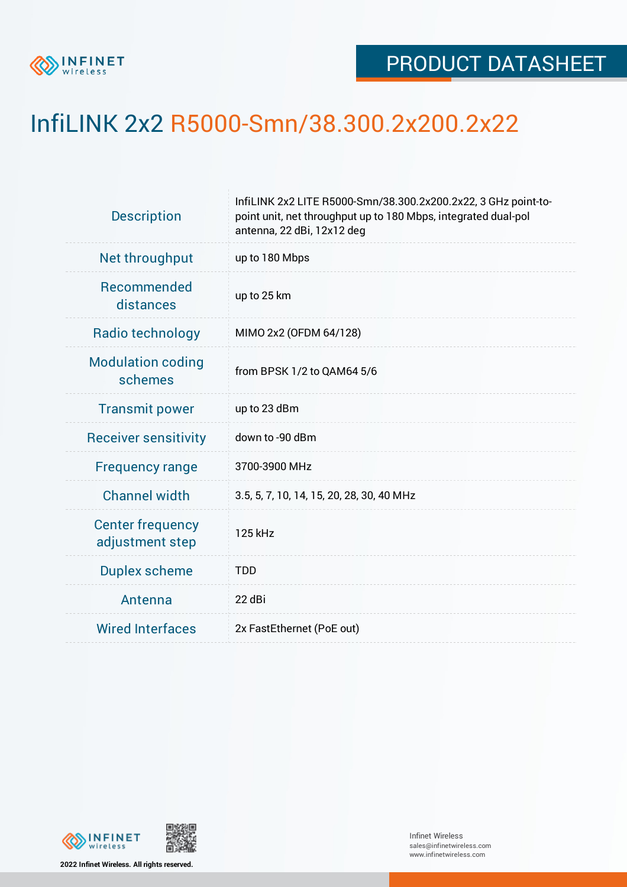

## InfiLINK 2x2 R5000-Smn/38.300.2x200.2x22

| <b>Description</b>                         | InfiLINK 2x2 LITE R5000-Smn/38.300.2x200.2x22, 3 GHz point-to-<br>point unit, net throughput up to 180 Mbps, integrated dual-pol<br>antenna, 22 dBi, 12x12 deg |  |  |  |  |
|--------------------------------------------|----------------------------------------------------------------------------------------------------------------------------------------------------------------|--|--|--|--|
| Net throughput                             | up to 180 Mbps                                                                                                                                                 |  |  |  |  |
| Recommended<br>distances                   | up to 25 km                                                                                                                                                    |  |  |  |  |
| Radio technology                           | MIMO 2x2 (OFDM 64/128)                                                                                                                                         |  |  |  |  |
| <b>Modulation coding</b><br>schemes        | from BPSK 1/2 to QAM64 5/6                                                                                                                                     |  |  |  |  |
| <b>Transmit power</b>                      | up to 23 dBm                                                                                                                                                   |  |  |  |  |
| <b>Receiver sensitivity</b>                | down to -90 dBm                                                                                                                                                |  |  |  |  |
| <b>Frequency range</b>                     | 3700-3900 MHz                                                                                                                                                  |  |  |  |  |
| <b>Channel width</b>                       | 3.5, 5, 7, 10, 14, 15, 20, 28, 30, 40 MHz                                                                                                                      |  |  |  |  |
| <b>Center frequency</b><br>adjustment step | 125 kHz                                                                                                                                                        |  |  |  |  |
| <b>Duplex scheme</b>                       | <b>TDD</b>                                                                                                                                                     |  |  |  |  |
| Antenna                                    | 22 dBi                                                                                                                                                         |  |  |  |  |
| <b>Wired Interfaces</b>                    | 2x FastEthernet (PoE out)                                                                                                                                      |  |  |  |  |



**2022 Infinet Wireless. All rights reserved.**

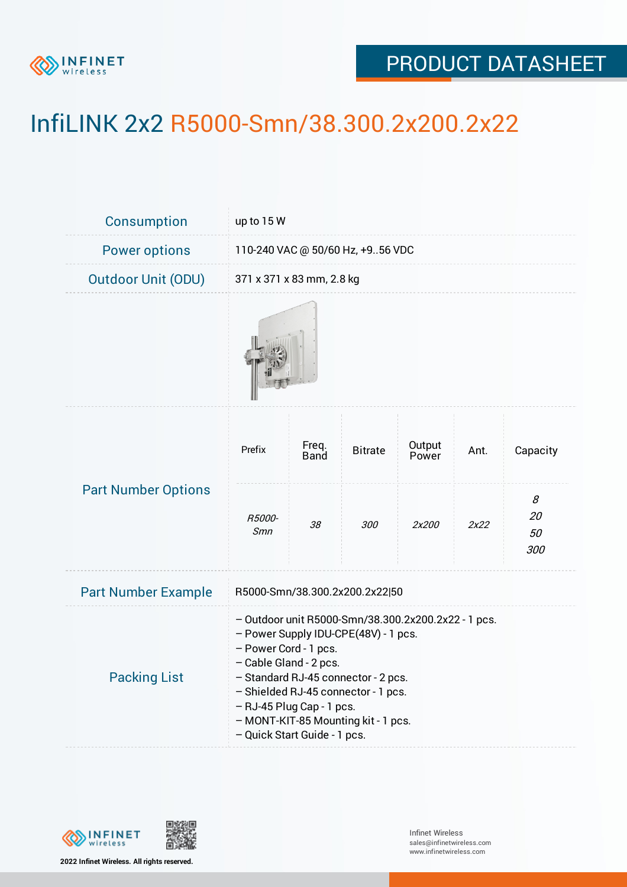

## PRODUCT DATASHEET

## InfiLINK 2x2 R5000-Smn/38.300.2x200.2x22

| Consumption                | up to 15 W                                                                                                                                                                                                                                                                                                                       |               |                |                 |      |                      |  |  |
|----------------------------|----------------------------------------------------------------------------------------------------------------------------------------------------------------------------------------------------------------------------------------------------------------------------------------------------------------------------------|---------------|----------------|-----------------|------|----------------------|--|--|
| <b>Power options</b>       | 110-240 VAC @ 50/60 Hz, +956 VDC                                                                                                                                                                                                                                                                                                 |               |                |                 |      |                      |  |  |
| <b>Outdoor Unit (ODU)</b>  | 371 x 371 x 83 mm, 2.8 kg                                                                                                                                                                                                                                                                                                        |               |                |                 |      |                      |  |  |
|                            |                                                                                                                                                                                                                                                                                                                                  |               |                |                 |      |                      |  |  |
| <b>Part Number Options</b> | Prefix                                                                                                                                                                                                                                                                                                                           | Freq.<br>Band | <b>Bitrate</b> | Output<br>Power | Ant. | Capacity             |  |  |
|                            | R5000-<br><b>Smn</b>                                                                                                                                                                                                                                                                                                             | 38            | 300            | 2x200           | 2x22 | 8<br>20<br>50<br>300 |  |  |
| <b>Part Number Example</b> | R5000-Smn/38.300.2x200.2x22 50                                                                                                                                                                                                                                                                                                   |               |                |                 |      |                      |  |  |
| <b>Packing List</b>        | - Outdoor unit R5000-Smn/38.300.2x200.2x22 - 1 pcs.<br>- Power Supply IDU-CPE(48V) - 1 pcs.<br>- Power Cord - 1 pcs.<br>- Cable Gland - 2 pcs.<br>- Standard RJ-45 connector - 2 pcs.<br>- Shielded RJ-45 connector - 1 pcs.<br>- RJ-45 Plug Cap - 1 pcs.<br>- MONT-KIT-85 Mounting kit - 1 pcs.<br>- Quick Start Guide - 1 pcs. |               |                |                 |      |                      |  |  |



**2022 Infinet Wireless. All rights reserved.**

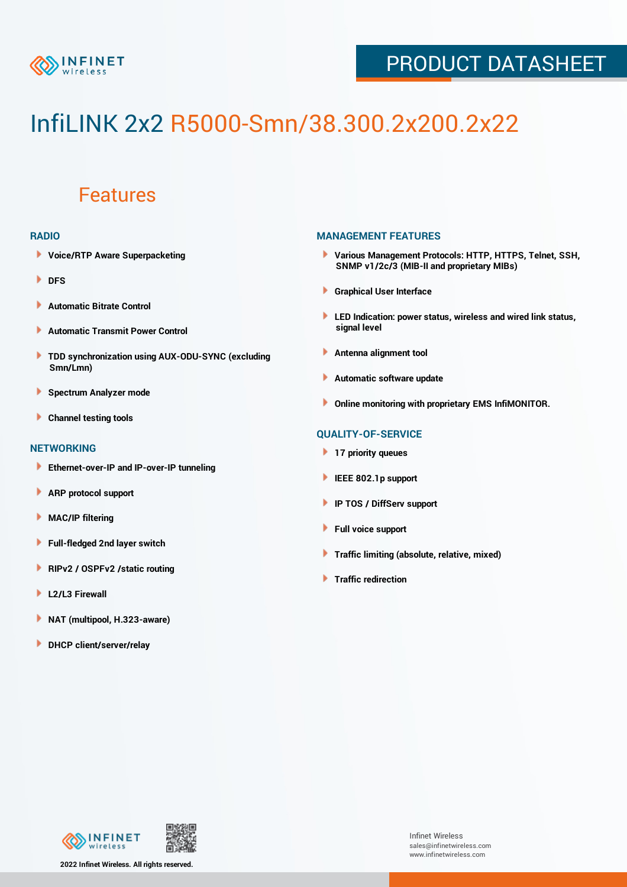

### PRODUCT DATASHEET

# InfiLINK 2x2 R5000-Smn/38.300.2x200.2x22

### Features

#### **RADIO**

- **Voice/RTP Aware Superpacketing**
- **DFS**
- **Automatic Bitrate Control** Þ
- Þ **Automatic Transmit Power Control**
- ь **TDD synchronization using AUX-ODU-SYNC (excluding Smn/Lmn)**
- **Spectrum Analyzer mode** ۰
- **Channel testing tools** ١

#### **NETWORKING**

- **Ethernet-over-IP and IP-over-IP tunneling**
- Þ **ARP protocol support**
- ۱ **MAC/IP filtering**
- Þ **Full-fledged 2nd layer switch**
- Þ **RIPv2 / OSPFv2 /static routing**
- **L2/L3 Firewall** Þ
- **NAT (multipool, H.323-aware)** Þ
- Þ **DHCP client/server/relay**

#### **MANAGEMENT FEATURES**

- **Various Management Protocols: HTTP, HTTPS, Telnet, SSH, SNMP v1/2c/3 (MIB-II and proprietary MIBs)**
- **Graphical User Interface**
- **LED Indication: power status, wireless and wired link status, signal level**
- **Antenna alignment tool**
- ٠ **Automatic software update**
- **Online monitoring with proprietary EMS InfiMONITOR.**

#### **QUALITY-OF-SERVICE**

- **17 priority queues**
- **IEEE 802.1p support**
- **IP TOS / DiffServ support**
- ٠ **Full voice support**
- **Traffic limiting (absolute, relative, mixed)** ٠
- **Traffic redirection**